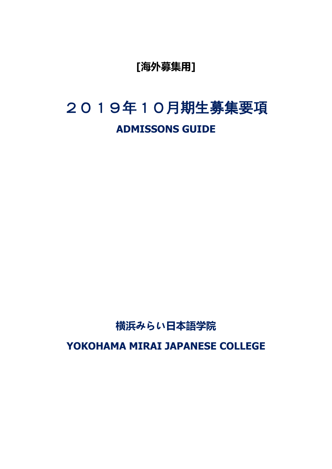**[海外募集用]**

# 2019年10月期生募集要項 **ADMISSONS GUIDE**

## **横浜みらい日本語学院**

**YOKOHAMA MIRAI JAPANESE COLLEGE**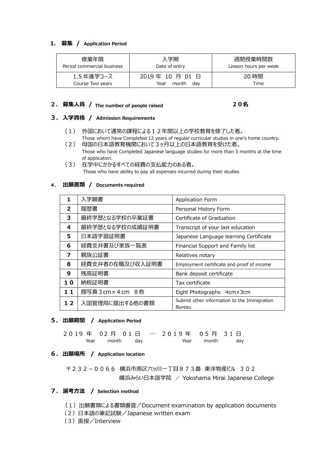#### **1. 募集 / Application Period**

| 修業年限                           | 入学期                                     | 週間授業時間数               |  |
|--------------------------------|-----------------------------------------|-----------------------|--|
| Period commercial business     | Date of entry                           | Lesson hours per week |  |
| 1.5 年進学コース<br>Course Two years | 2019年 10 月 01 日<br>month<br>Year<br>dav | 20 時間<br>Time         |  |

### **2. 募集人員 / The number of people raised 20名**

#### **3. 入学資格 / Admission Requirements**

- (1) 外国において通常の課程による12年間以上の学校教育を修了した者。 Those whom have Completed 12 years of regular curricular studies in one's home country.
- (2) 母国の日本語教育機関において3ヶ月以上の日本語教育を受けた者。 Those who have Completed Japanese language studies for more than 3 months at the time of application.
- (3) 在学中にかかるすべての経費の支払能力のある者。 Those who have ability to pay all expenses incurred during their studies

#### **4. 出願書類 / Documents required**

| 1              | 入学願書               | <b>Application Form</b>                               |
|----------------|--------------------|-------------------------------------------------------|
| $\overline{2}$ | 履歴書                | Personal History Form                                 |
| 3              | 最終学歴となる学校の卒業証書     | Certificate of Graduation                             |
| 4              | 最終学歴となる学校の成績証明書    | Transcript of your last education                     |
| 5              | 日本語学習証明書           | Japanese Language learning Certificate                |
| 6              | 経費支弁書及び家族一覧表       | Financial Support and Family list                     |
| 7              | 親族公証書              | Relatives notary                                      |
| 8              | 経費支弁者の在職及び収入証明書    | Employment certificate and proof of income            |
| 9              | 残高証明書              | Bank deposit certificate                              |
| 10             | 納税証明書              | Tax certificate                                       |
| 11             | 顔写真 3 cm × 4 cm 8枚 | Eight Photographs 4cm×3cm                             |
| 12             | 入国管理局に提出する他の書類     | Submit other information to the Immigration<br>Bureau |

#### **5. 出願期間 / Application Period**

|  |                |  | 2019年 02月 01日 - 2019年 05月 31日 |                |  |
|--|----------------|--|-------------------------------|----------------|--|
|  | Year month day |  |                               | Year month day |  |

#### **6. 出願場所 / Application location**

〒232-0066 横浜市南区六ッ川一丁目873番 東洋物産ビル 302 横浜みらい日本語学院 / Yokohama Mirai Japanese College

#### **7. 選考方法 / Selection method**

- (1)出願書類による書類審査/Document examination by application documents
- (2)日本語の筆記試験/Japanese written exam
- (3)面接/Interview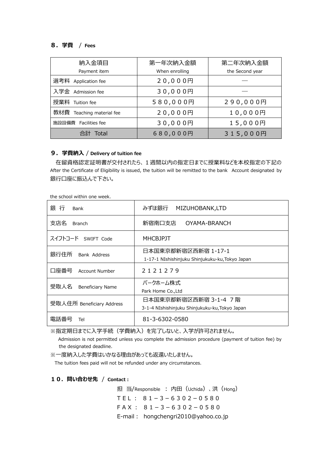#### **8.学費** / **Fees**

| 納入金項目                     | 第一年次納入金額       | 第二年次納入金額        |
|---------------------------|----------------|-----------------|
| Payment item              | When enrolling | the Second year |
| 選考料 Application fee       | 20,000円        |                 |
| 入学金 Admission fee         | 30,000円        |                 |
| 授業料 Tuition fee           | 580,000円       | 290,000円        |
| 教材費 Teaching material fee | 20,000円        | 10,000円         |
| 施設設備費 Facilities fee      | 30,000円        | 15,000円         |
| 合計<br>Total               | 680,000円       | 315,000円        |

#### **9.学費納入** / **Delivery of tuition fee**

在留資格認定証明書が交付されたら、1週間以内の指定日までに授業料などを本校指定の下記の After the Certificate of Eligibility is issued, the tuition will be remitted to the bank Account designated by 銀行口座に振込んで下さい。

the school within one week.

| 銀行<br>Bank                | みずほ銀行 MIZUHOBANK,LTD                                                    |  |
|---------------------------|-------------------------------------------------------------------------|--|
| 支店名<br><b>Branch</b>      | 新宿南口支店<br>OYAMA-BRANCH                                                  |  |
| スイフトコード SWIFT Code        | <b>MHCBJPJT</b>                                                         |  |
| 銀行住所<br>Bank Address      | 日本国東京都新宿区西新宿 1-17-1<br>1-17-1 NIshishinjuku Shinjukuku-ku, Tokyo Japan  |  |
| 口座番号<br>Account Number    | 2121279                                                                 |  |
| 受取人名<br>Beneficiary Name  | パークホーム株式<br>Park Home Co., Ltd                                          |  |
| 受取人住所 Beneficiary Address | 日本国東京都新宿区西新宿 3-1-4 7階<br>3-1-4 NIshishinjuku Shinjukuku-ku, Tokyo Japan |  |
| 電詁番号<br>Tel               | 81-3-6302-0580                                                          |  |

※指定期日までに入学手続(学費納入)を完了しないと、入学が許可されません。

 Admission is not permitted unless you complete the admission procedure (payment of tuition fee) by the designated deadline.

※一度納入した学費はいかなる理由があっても返還いたしません。

The tuition fees paid will not be refunded under any circumstances.

#### **10.問い合わせ先** / **Contact:**

担 当/Responsible : 内田(Uchida)、洪(Hong)  $TEL: 81-3-6302-0580$  $FAX: 81-3-6302-0580$ E-mail: hongchengri2010@yahoo.co.jp